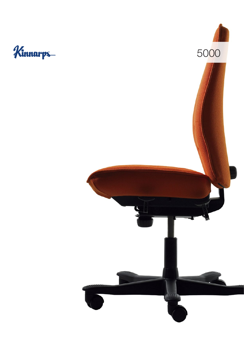## Kinnarps